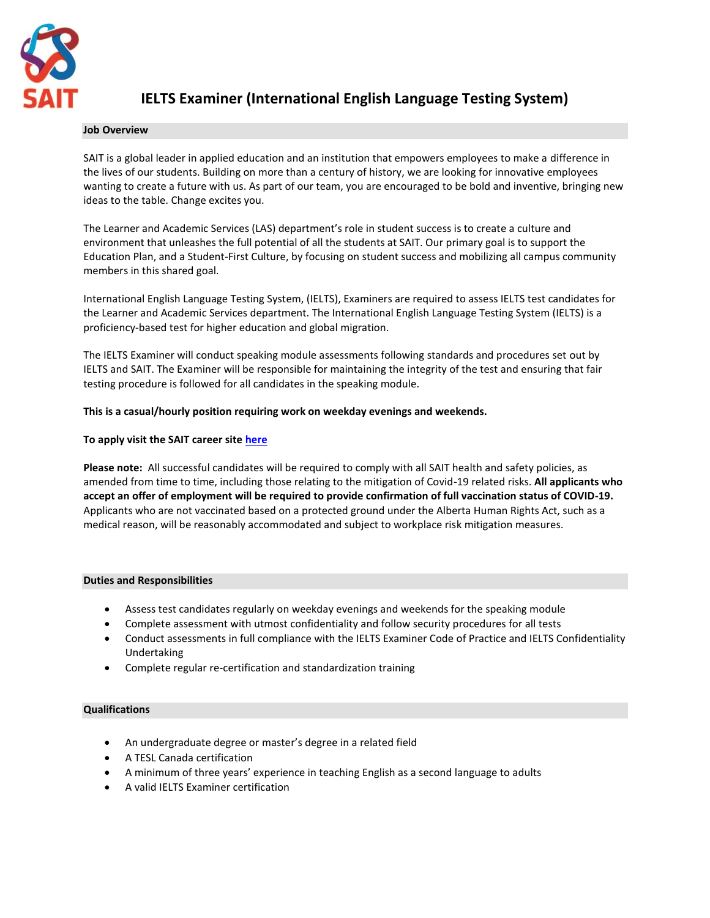

# **IELTS Examiner (International English Language Testing System)**

#### **Job Overview**

SAIT is a global leader in applied education and an institution that empowers employees to make a difference in the lives of our students. Building on more than a century of history, we are looking for innovative employees wanting to create a future with us. As part of our team, you are encouraged to be bold and inventive, bringing new ideas to the table. Change excites you.

The Learner and Academic Services (LAS) department's role in student success is to create a culture and environment that unleashes the full potential of all the students at SAIT. Our primary goal is to support the Education Plan, and a Student-First Culture, by focusing on student success and mobilizing all campus community members in this shared goal.

International English Language Testing System, (IELTS), Examiners are required to assess IELTS test candidates for the Learner and Academic Services department. The International English Language Testing System (IELTS) is a proficiency-based test for higher education and global migration.

The IELTS Examiner will conduct speaking module assessments following standards and procedures set out by IELTS and SAIT. The Examiner will be responsible for maintaining the integrity of the test and ensuring that fair testing procedure is followed for all candidates in the speaking module.

## **This is a casual/hourly position requiring work on weekday evenings and weekends.**

## **To apply visit the SAIT career sit[e here](https://jobs.lever.co/sait/67892e3a-c215-4941-93bb-a292cc5a38f9)**

**Please note:** All successful candidates will be required to comply with all SAIT health and safety policies, as amended from time to time, including those relating to the mitigation of Covid-19 related risks. **All applicants who accept an offer of employment will be required to provide confirmation of full vaccination status of COVID-19.** Applicants who are not vaccinated based on a protected ground under the Alberta Human Rights Act, such as a medical reason, will be reasonably accommodated and subject to workplace risk mitigation measures.

## **Duties and Responsibilities**

- Assess test candidates regularly on weekday evenings and weekends for the speaking module
- Complete assessment with utmost confidentiality and follow security procedures for all tests
- Conduct assessments in full compliance with the IELTS Examiner Code of Practice and IELTS Confidentiality Undertaking
- Complete regular re-certification and standardization training

#### **Qualifications**

- An undergraduate degree or master's degree in a related field
- A TESL Canada certification
- A minimum of three years' experience in teaching English as a second language to adults
- A valid IELTS Examiner certification